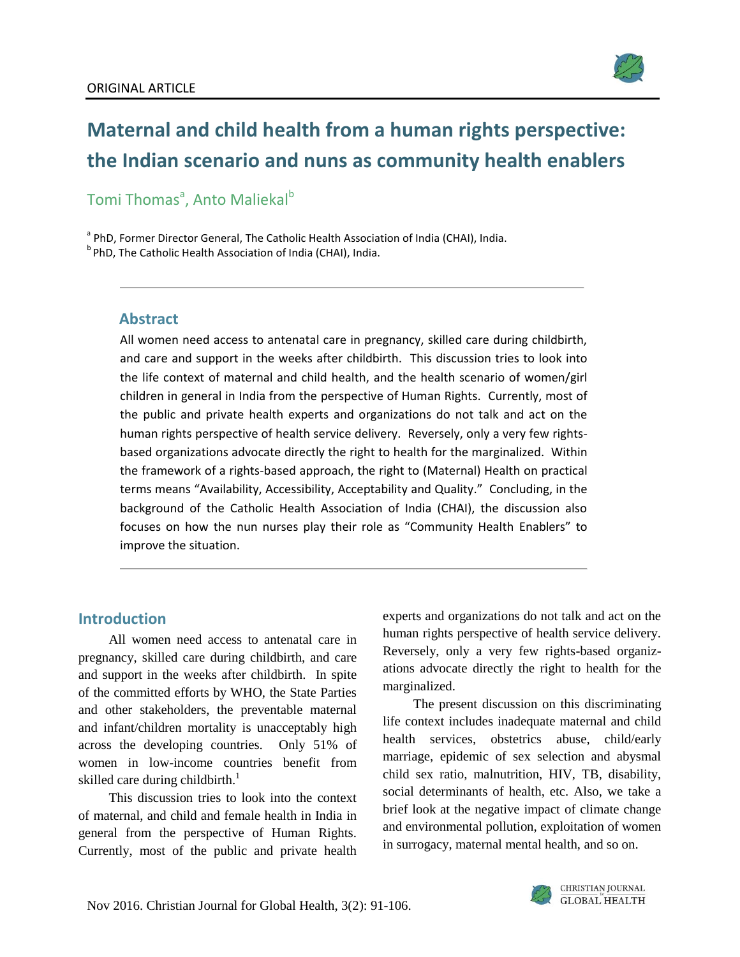

# **Maternal and child health from a human rights perspective: the Indian scenario and nuns as community health enablers**

Tomi Thomas<sup>a</sup>, Anto Maliekal<sup>b</sup>

<sup>a</sup> PhD, Former Director General, The Catholic Health Association of India (CHAI), India. <sup>b</sup> PhD, The Catholic Health Association of India (CHAI), India.

#### **Abstract**

All women need access to antenatal care in pregnancy, skilled care during childbirth, and care and support in the weeks after childbirth. This discussion tries to look into the life context of maternal and child health, and the health scenario of women/girl children in general in India from the perspective of Human Rights. Currently, most of the public and private health experts and organizations do not talk and act on the human rights perspective of health service delivery. Reversely, only a very few rightsbased organizations advocate directly the right to health for the marginalized. Within the framework of a rights-based approach, the right to (Maternal) Health on practical terms means "Availability, Accessibility, Acceptability and Quality." Concluding, in the background of the Catholic Health Association of India (CHAI), the discussion also focuses on how the nun nurses play their role as "Community Health Enablers" to improve the situation.

#### **Introduction**

All women need access to antenatal care in pregnancy, skilled care during childbirth, and care and support in the weeks after childbirth. In spite of the committed efforts by WHO, the State Parties and other stakeholders, the preventable maternal and infant/children mortality is unacceptably high across the developing countries. Only 51% of women in low-income countries benefit from skilled care during childbirth.<sup>1</sup>

This discussion tries to look into the context of maternal, and child and female health in India in general from the perspective of Human Rights. Currently, most of the public and private health experts and organizations do not talk and act on the human rights perspective of health service delivery. Reversely, only a very few rights-based organizations advocate directly the right to health for the marginalized.

The present discussion on this discriminating life context includes inadequate maternal and child health services, obstetrics abuse, child/early marriage, epidemic of sex selection and abysmal child sex ratio, malnutrition, HIV, TB, disability, social determinants of health, etc. Also, we take a brief look at the negative impact of climate change and environmental pollution, exploitation of women in surrogacy, maternal mental health, and so on.

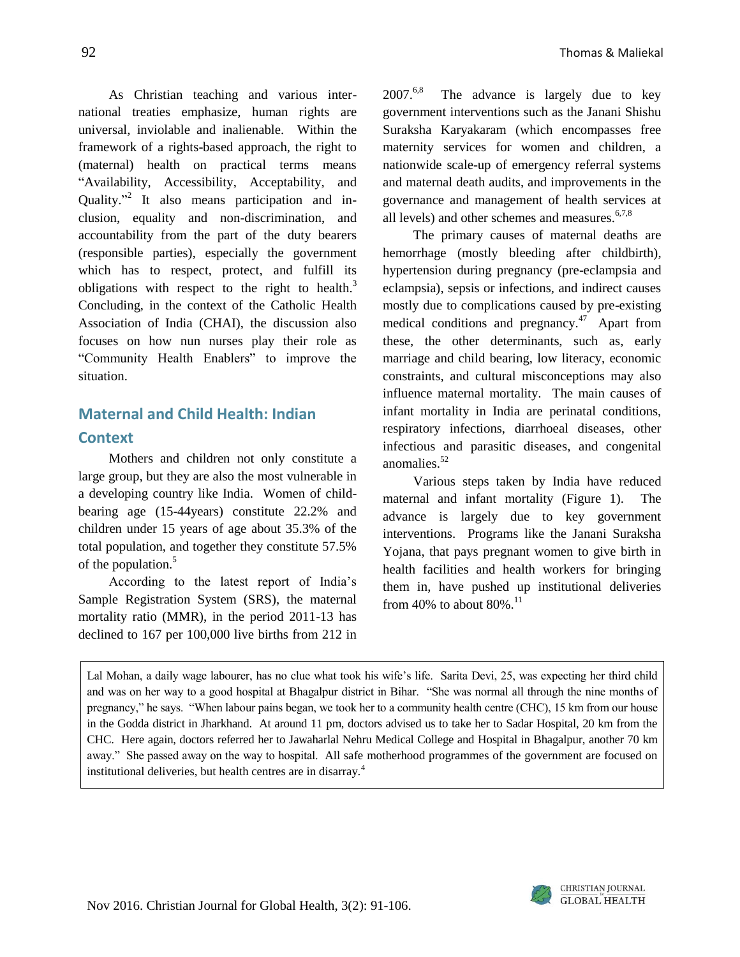92 Thomas & Maliekal

As Christian teaching and various international treaties emphasize, human rights are universal, inviolable and inalienable. Within the framework of a rights-based approach, the right to (maternal) health on practical terms means "Availability, Accessibility, Acceptability, and Quality."<sup>2</sup> It also means participation and inclusion, equality and non-discrimination, and accountability from the part of the duty bearers (responsible parties), especially the government which has to respect, protect, and fulfill its obligations with respect to the right to health. $3$ Concluding, in the context of the Catholic Health Association of India (CHAI), the discussion also focuses on how nun nurses play their role as "Community Health Enablers" to improve the situation.

### **Maternal and Child Health: Indian Context**

Mothers and children not only constitute a large group, but they are also the most vulnerable in a developing country like India. Women of childbearing age (15-44years) constitute 22.2% and children under 15 years of age about 35.3% of the total population, and together they constitute 57.5% of the population.<sup>5</sup>

According to the latest report of India's Sample Registration System (SRS), the maternal mortality ratio (MMR), in the period 2011-13 has declined to 167 per 100,000 live births from 212 in  $2007<sup>6,8</sup>$  The advance is largely due to key government interventions such as the Janani Shishu Suraksha Karyakaram (which encompasses free maternity services for women and children, a nationwide scale-up of emergency referral systems and maternal death audits, and improvements in the governance and management of health services at all levels) and other schemes and measures. $6,7,8$ 

The primary causes of maternal deaths are hemorrhage (mostly bleeding after childbirth), hypertension during pregnancy (pre-eclampsia and eclampsia), sepsis or infections, and indirect causes mostly due to complications caused by pre-existing medical conditions and pregnancy. $47$  Apart from these, the other determinants, such as, early marriage and child bearing, low literacy, economic constraints, and cultural misconceptions may also influence maternal mortality. The main causes of infant mortality in India are perinatal conditions, respiratory infections, diarrhoeal diseases, other infectious and parasitic diseases, and congenital anomalies.<sup>52</sup>

Various steps taken by India have reduced maternal and infant mortality (Figure 1). The advance is largely due to key government interventions. Programs like the Janani Suraksha Yojana, that pays pregnant women to give birth in health facilities and health workers for bringing them in, have pushed up institutional deliveries from 40% to about  $80\%$ .<sup>11</sup>

Lal Mohan, a daily wage labourer, has no clue what took his wife's life. Sarita Devi, 25, was expecting her third child and was on her way to a good hospital at Bhagalpur district in Bihar. "She was normal all through the nine months of pregnancy," he says. "When labour pains began, we took her to a community health centre (CHC), 15 km from our house in the Godda district in Jharkhand. At around 11 pm, doctors advised us to take her to Sadar Hospital, 20 km from the CHC. Here again, doctors referred her to Jawaharlal Nehru Medical College and Hospital in Bhagalpur, another 70 km away." She passed away on the way to hospital. All safe motherhood programmes of the government are focused on institutional deliveries, but health centres are in disarray.<sup>4</sup>

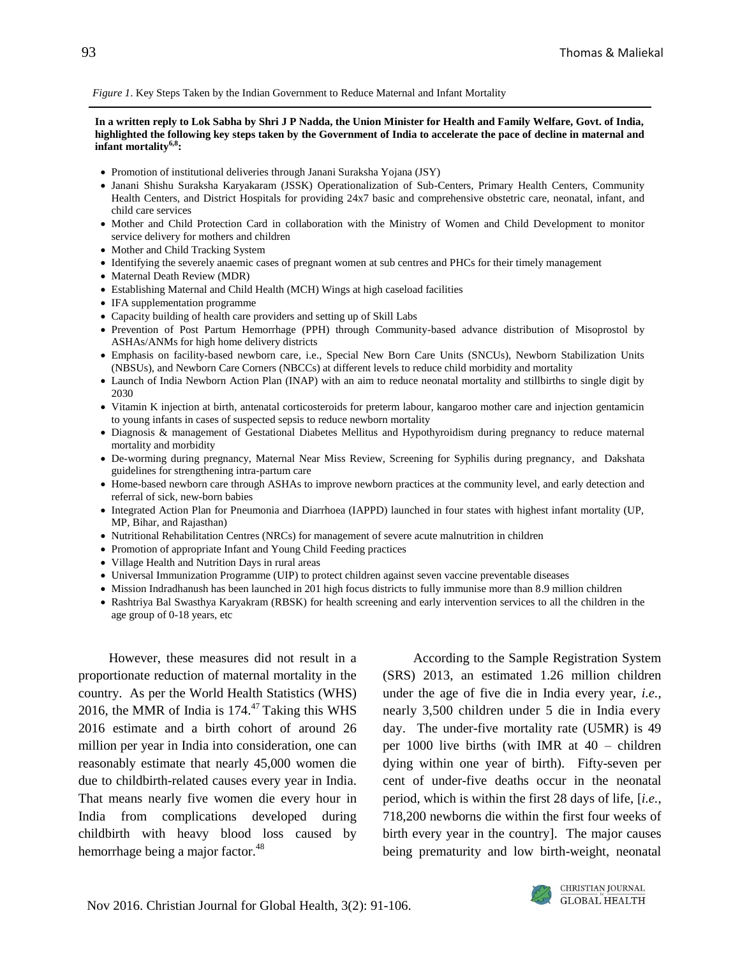*Figure 1*. Key Steps Taken by the Indian Government to Reduce Maternal and Infant Mortality

**In a written reply to Lok Sabha by Shri J P Nadda, the Union Minister for Health and Family Welfare, Govt. of India, highlighted the following key steps taken by the Government of India to accelerate the pace of decline in maternal and infant mortality6,8 :** 

- Promotion of institutional deliveries through Janani Suraksha Yojana (JSY)
- Janani Shishu Suraksha Karyakaram (JSSK) Operationalization of Sub-Centers, Primary Health Centers, Community Health Centers, and District Hospitals for providing 24x7 basic and comprehensive obstetric care, neonatal, infant, and child care services
- Mother and Child Protection Card in collaboration with the Ministry of Women and Child Development to monitor service delivery for mothers and children
- Mother and Child Tracking System
- Identifying the severely anaemic cases of pregnant women at sub centres and PHCs for their timely management
- Maternal Death Review (MDR)
- Establishing Maternal and Child Health (MCH) Wings at high caseload facilities
- IFA supplementation programme
- Capacity building of health care providers and setting up of Skill Labs
- Prevention of Post Partum Hemorrhage (PPH) through Community-based advance distribution of Misoprostol by ASHAs/ANMs for high home delivery districts
- Emphasis on facility-based newborn care, i.e., Special New Born Care Units (SNCUs), Newborn Stabilization Units (NBSUs), and Newborn Care Corners (NBCCs) at different levels to reduce child morbidity and mortality
- Launch of India Newborn Action Plan (INAP) with an aim to reduce neonatal mortality and stillbirths to single digit by 2030
- Vitamin K injection at birth, antenatal corticosteroids for preterm labour, kangaroo mother care and injection gentamicin to young infants in cases of suspected sepsis to reduce newborn mortality
- Diagnosis & management of Gestational Diabetes Mellitus and Hypothyroidism during pregnancy to reduce maternal mortality and morbidity
- De-worming during pregnancy, Maternal Near Miss Review, Screening for Syphilis during pregnancy, and Dakshata guidelines for strengthening intra-partum care
- Home-based newborn care through ASHAs to improve newborn practices at the community level, and early detection and referral of sick, new-born babies
- Integrated Action Plan for Pneumonia and Diarrhoea (IAPPD) launched in four states with highest infant mortality (UP, MP, Bihar, and Rajasthan)
- Nutritional Rehabilitation Centres (NRCs) for management of severe acute malnutrition in children
- Promotion of appropriate Infant and Young Child Feeding practices
- Village Health and Nutrition Days in rural areas
- Universal Immunization Programme (UIP) to protect children against seven vaccine preventable diseases
- Mission Indradhanush has been launched in 201 high focus districts to fully immunise more than 8.9 million children
- Rashtriya Bal Swasthya Karyakram (RBSK) for health screening and early intervention services to all the children in the age group of 0-18 years, etc

However, these measures did not result in a proportionate reduction of maternal mortality in the country. As per the World Health Statistics (WHS) 2016, the MMR of India is  $174<sup>47</sup>$  Taking this WHS 2016 estimate and a birth cohort of around 26 million per year in India into consideration, one can reasonably estimate that nearly 45,000 women die due to childbirth-related causes every year in India. That means nearly five women die every hour in India from complications developed during childbirth with heavy blood loss caused by hemorrhage being a major factor.<sup>48</sup>

According to the Sample Registration System (SRS) 2013, an estimated 1.26 million children under the age of five die in India every year, *i.e.*, nearly 3,500 children under 5 die in India every day. The under-five mortality rate (U5MR) is 49 per 1000 live births (with IMR at 40 – children dying within one year of birth). Fifty-seven per cent of under-five deaths occur in the neonatal period, which is within the first 28 days of life, [*i.e.*, 718,200 newborns die within the first four weeks of birth every year in the country]. The major causes being prematurity and low birth-weight, neonatal

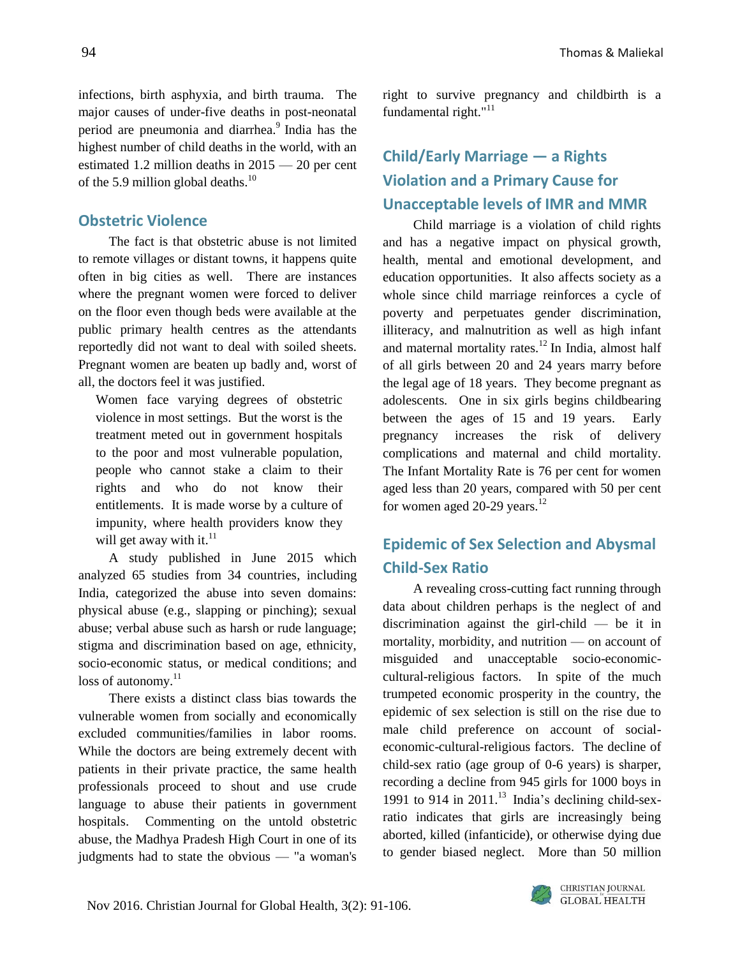infections, birth asphyxia, and birth trauma. The major causes of under-five deaths in post-neonatal period are pneumonia and diarrhea. 9 India has the highest number of child deaths in the world, with an estimated 1.2 million deaths in 2015 — 20 per cent of the 5.9 million global deaths.<sup>10</sup>

#### **Obstetric Violence**

The fact is that obstetric abuse is not limited to remote villages or distant towns, it happens quite often in big cities as well. There are instances where the pregnant women were forced to deliver on the floor even though beds were available at the public primary health centres as the attendants reportedly did not want to deal with soiled sheets. Pregnant women are beaten up badly and, worst of all, the doctors feel it was justified.

Women face varying degrees of obstetric violence in most settings. But the worst is the treatment meted out in government hospitals to the poor and most vulnerable population, people who cannot stake a claim to their rights and who do not know their entitlements. It is made worse by a culture of impunity, where health providers know they will get away with it.<sup>11</sup>

A study published in June 2015 which analyzed 65 studies from 34 countries, including India, categorized the abuse into seven domains: physical abuse (e.g., slapping or pinching); sexual abuse; verbal abuse such as harsh or rude language; stigma and discrimination based on age, ethnicity, socio-economic status, or medical conditions; and  $loss of automomy.<sup>11</sup>$ 

There exists a distinct class bias towards the vulnerable women from socially and economically excluded communities/families in labor rooms. While the doctors are being extremely decent with patients in their private practice, the same health professionals proceed to shout and use crude language to abuse their patients in government hospitals. Commenting on the untold obstetric abuse, the Madhya Pradesh High Court in one of its judgments had to state the obvious — "a woman's right to survive pregnancy and childbirth is a fundamental right."<sup>11</sup>

### **Child/Early Marriage — a Rights Violation and a Primary Cause for Unacceptable levels of IMR and MMR**

Child marriage is a violation of child rights and has a negative impact on physical growth, health, mental and emotional development, and education opportunities. It also affects society as a whole since child marriage reinforces a cycle of poverty and perpetuates gender discrimination, illiteracy, and malnutrition as well as high infant and maternal mortality rates.<sup>12</sup> In India, almost half of all girls between 20 and 24 years marry before the legal age of 18 years. They become pregnant as adolescents. One in six girls begins childbearing between the ages of 15 and 19 years. Early pregnancy increases the risk of delivery complications and maternal and child mortality. The Infant Mortality Rate is 76 per cent for women aged less than 20 years, compared with 50 per cent for women aged 20-29 years. $^{12}$ 

### **Epidemic of Sex Selection and Abysmal Child-Sex Ratio**

A revealing cross-cutting fact running through data about children perhaps is the neglect of and discrimination against the girl-child — be it in mortality, morbidity, and nutrition — on account of misguided and unacceptable socio-economiccultural-religious factors. In spite of the much trumpeted economic prosperity in the country, the epidemic of sex selection is still on the rise due to male child preference on account of socialeconomic-cultural-religious factors. The decline of child-sex ratio (age group of 0-6 years) is sharper, recording a decline from 945 girls for 1000 boys in 1991 to 914 in 2011.<sup>13</sup> India's declining child-sexratio indicates that girls are increasingly being aborted, killed (infanticide), or otherwise dying due to gender biased neglect. More than 50 million

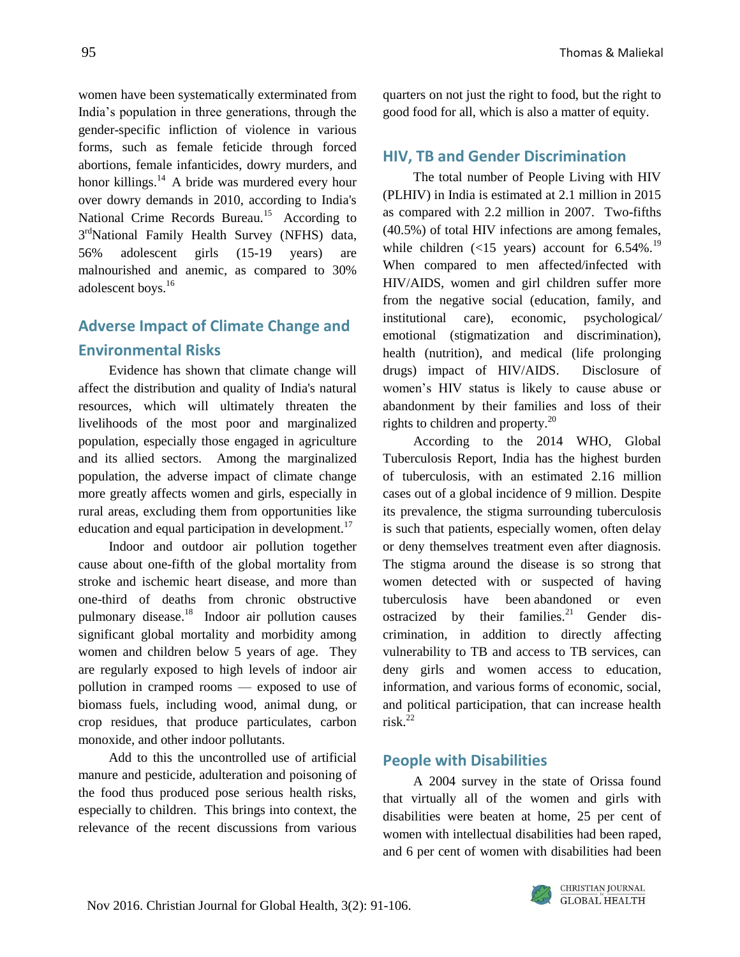women have been systematically exterminated from India's population in three generations, through the gender-specific infliction of violence in various forms, such as female feticide through forced abortions, female infanticides, dowry murders, and honor killings. $14$  A bride was murdered every hour over dowry demands in 2010, according to India's National Crime Records Bureau.<sup>15</sup> According to 3<sup>rd</sup>National Family Health Survey (NFHS) data, 56% adolescent girls (15-19 years) are malnourished and anemic, as compared to 30% adolescent boys.<sup>16</sup>

### **Adverse Impact of Climate Change and Environmental Risks**

Evidence has shown that climate change will affect the distribution and quality of India's natural resources, which will ultimately threaten the livelihoods of the most poor and marginalized population, especially those engaged in agriculture and its allied sectors. Among the marginalized population, the adverse impact of climate change more greatly affects women and girls, especially in rural areas, excluding them from opportunities like education and equal participation in development.<sup>17</sup>

Indoor and outdoor air pollution together cause about one-fifth of the global mortality from stroke and ischemic heart disease, and more than one-third of deaths from chronic obstructive pulmonary disease.<sup>18</sup> Indoor air pollution causes significant global mortality and morbidity among women and children below 5 years of age. They are regularly exposed to high levels of indoor air pollution in cramped rooms — exposed to use of biomass fuels, including wood, animal dung, or crop residues, that produce particulates, carbon monoxide, and other indoor pollutants.

Add to this the uncontrolled use of artificial manure and pesticide, adulteration and poisoning of the food thus produced pose serious health risks, especially to children. This brings into context, the relevance of the recent discussions from various

quarters on not just the right to food, but the right to good food for all, which is also a matter of equity.

#### **HIV, TB and Gender Discrimination**

The total number of People Living with HIV (PLHIV) in India is estimated at 2.1 million in 2015 as compared with 2.2 million in 2007. Two-fifths (40.5%) of total HIV infections are among females, while children  $\left($  <15 years) account for 6.54%.<sup>19</sup> When compared to men affected/infected with HIV/AIDS, women and girl children suffer more from the negative social (education, family, and institutional care), economic, psychological*/* emotional (stigmatization and discrimination), health (nutrition), and medical (life prolonging drugs) impact of HIV/AIDS. Disclosure of women's HIV status is likely to cause abuse or abandonment by their families and loss of their rights to children and property.<sup>20</sup>

According to the 2014 WHO, Global Tuberculosis Report, India has the highest burden of tuberculosis, with an estimated 2.16 million cases out of a global incidence of 9 million. Despite its prevalence, the [stigma](http://www.ncbi.nlm.nih.gov/pmc/articles/PMC2882973/) [surrounding](http://www.ncbi.nlm.nih.gov/pmc/articles/PMC2882973/) tuberculosis is such that patients, especially women, often delay or deny themselves treatment even after diagnosis. The stigma around the disease is so strong that women detected with or suspected of having tuberculosis have been abandoned or even ostracized by their families.<sup>21</sup> Gender discrimination, in addition to directly affecting vulnerability to TB and access to TB services, can deny girls and women access to education, information, and various forms of economic, social, and political participation, that can increase health risk. $^{22}$ 

#### **People with Disabilities**

A 2004 survey in the state of Orissa found that virtually all of the women and girls with disabilities were beaten at home, 25 per cent of women with intellectual disabilities had been raped, and 6 per cent of women with disabilities had been

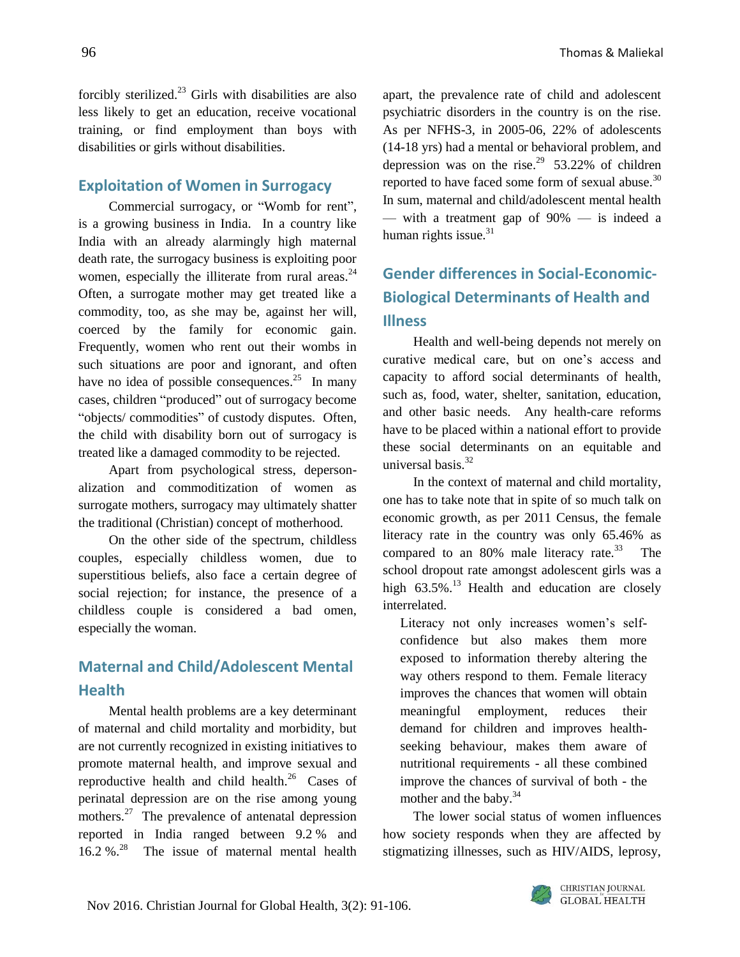forcibly sterilized. $^{23}$  Girls with disabilities are also less likely to get an education, receive vocational training, or find employment than boys with disabilities or girls without disabilities.

### **Exploitation of Women in Surrogacy**

Commercial surrogacy, or "Womb for rent", is a growing business in India. In a country like India with an already alarmingly high maternal death rate, the surrogacy business is exploiting poor women, especially the illiterate from rural areas. $^{24}$ Often, a surrogate mother may get treated like a commodity, too, as she may be, against her will, coerced by the family for economic gain. Frequently, women who rent out their wombs in such situations are poor and ignorant, and often have no idea of possible consequences. $^{25}$  In many cases, children "produced" out of surrogacy become "objects/ commodities" of custody disputes. Often, the child with disability born out of surrogacy is treated like a damaged commodity to be rejected.

Apart from psychological stress, depersonalization and commoditization of women as surrogate mothers, surrogacy may ultimately shatter the traditional (Christian) concept of motherhood.

On the other side of the spectrum, childless couples, especially childless women, due to superstitious beliefs, also face a certain degree of social rejection; for instance, the presence of a childless couple is considered a bad omen, especially the woman.

### **Maternal and Child/Adolescent Mental Health**

Mental health problems are a key determinant of maternal and child mortality and morbidity, but are not currently recognized in existing initiatives to promote maternal health, and improve sexual and reproductive health and child health. $^{26}$  Cases of perinatal depression are on the rise among young mothers.<sup>27</sup> The prevalence of antenatal depression reported in India ranged between 9.2 % and 16.2 %.<sup>28</sup> The issue of maternal mental health apart, the prevalence rate of child and adolescent psychiatric disorders in the country is on the rise. As per NFHS-3, in 2005-06, 22% of adolescents (14-18 yrs) had a mental or behavioral problem, and depression was on the rise.<sup>29</sup> 53.22% of children reported to have faced some form of sexual abuse.<sup>30</sup> In sum, maternal and child/adolescent mental health — with a treatment gap of 90% — is indeed a human rights issue.<sup>31</sup>

# **Gender differences in Social-Economic-Biological Determinants of Health and Illness**

Health and well-being depends not merely on curative medical care, but on one's access and capacity to afford social determinants of health, such as, food, water, shelter, sanitation, education, and other basic needs. Any health-care reforms have to be placed within a national effort to provide these social determinants on an equitable and universal basis.<sup>32</sup>

In the context of maternal and child mortality, one has to take note that in spite of so much talk on economic growth, as per 2011 Census, the female literacy rate in the country was only 65.46% as compared to an  $80\%$  male literacy rate.<sup>33</sup> The school dropout rate amongst adolescent girls was a high  $63.5\%$ .<sup>13</sup> Health and education are closely interrelated.

Literacy not only increases women's selfconfidence but also makes them more exposed to information thereby altering the way others respond to them. Female literacy improves the chances that women will obtain meaningful employment, reduces their demand for children and improves healthseeking behaviour, makes them aware of nutritional requirements - all these combined improve the chances of survival of both - the mother and the baby.<sup>34</sup>

The lower social status of women influences how society responds when they are affected by stigmatizing illnesses, such as HIV/AIDS, leprosy,

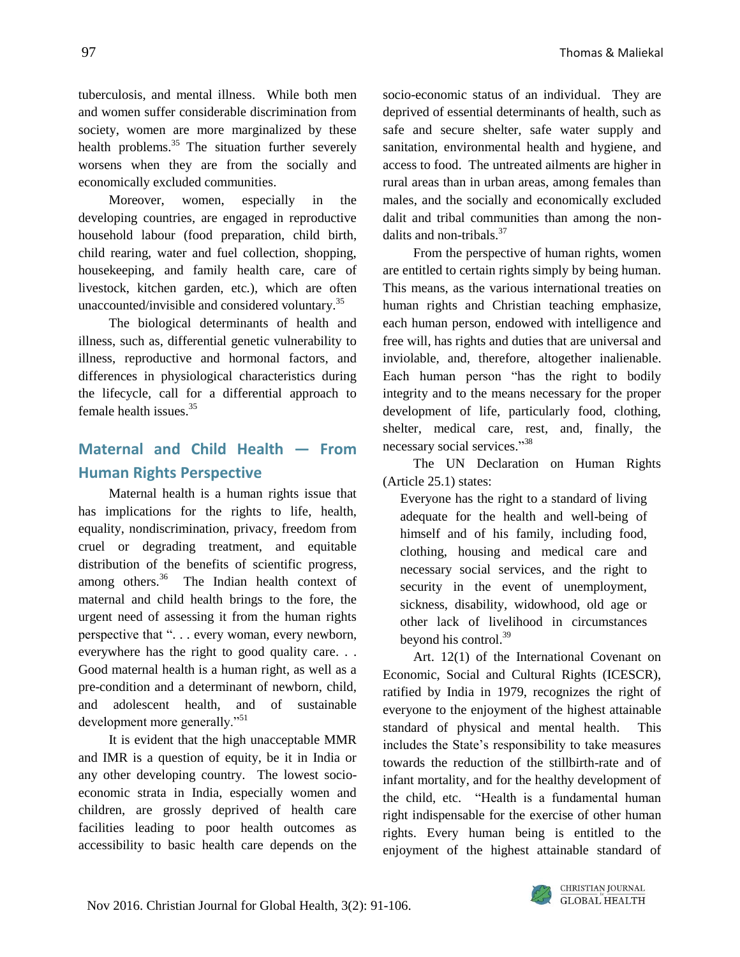tuberculosis, and mental illness. While both men and women suffer considerable discrimination from society, women are more marginalized by these health problems.<sup>35</sup> The situation further severely worsens when they are from the socially and economically excluded communities.

Moreover, women, especially in the developing countries, are engaged in reproductive household labour (food preparation, child birth, child rearing, water and fuel collection, shopping, housekeeping, and family health care, care of livestock, kitchen garden, etc*.*), which are often unaccounted/invisible and considered voluntary.<sup>35</sup>

The biological determinants of health and illness, such as, differential genetic vulnerability to illness, reproductive and hormonal factors, and differences in physiological characteristics during the lifecycle, call for a differential approach to female health issues. $35$ 

### **Maternal and Child Health — From Human Rights Perspective**

Maternal health is a human rights issue that has implications for the rights to life, health, equality, nondiscrimination, privacy, freedom from cruel or degrading treatment, and equitable distribution of the benefits of scientific progress, among others. $36$  The Indian health context of maternal and child health brings to the fore, the urgent need of assessing it from the human rights perspective that ". . . every woman, every newborn, everywhere has the right to good quality care. . . Good maternal health is a human right, as well as a pre-condition and a determinant of newborn, child, and adolescent health, and of sustainable development more generally."<sup>51</sup>

It is evident that the high unacceptable MMR and IMR is a question of equity, be it in India or any other developing country. The lowest socioeconomic strata in India, especially women and children, are grossly deprived of health care facilities leading to poor health outcomes as accessibility to basic health care depends on the socio-economic status of an individual. They are deprived of essential determinants of health, such as safe and secure shelter, safe water supply and sanitation, environmental health and hygiene, and access to food. The untreated ailments are higher in rural areas than in urban areas, among females than males, and the socially and economically excluded dalit and tribal communities than among the nondalits and non-tribals.<sup>37</sup>

From the perspective of human rights, women are entitled to certain rights simply by being human. This means, as the various international treaties on human rights and Christian teaching emphasize, each human person, endowed with intelligence and free will, has rights and duties that are universal and inviolable, and, therefore, altogether inalienable. Each human person "has the right to bodily integrity and to the means necessary for the proper development of life, particularly food, clothing, shelter, medical care, rest, and, finally, the necessary social services."<sup>38</sup>

The UN Declaration on Human Rights (Article 25.1) states:

Everyone has the right to a standard of living adequate for the health and well-being of himself and of his family, including food, clothing, housing and medical care and necessary social services, and the right to security in the event of unemployment, sickness, disability, widowhood, old age or other lack of livelihood in circumstances beyond his control.<sup>39</sup>

Art. 12(1) of the International Covenant on Economic, Social and Cultural Rights (ICESCR), ratified by India in 1979, recognizes the right of everyone to the enjoyment of the highest attainable standard of physical and mental health. This includes the State's responsibility to take measures towards the reduction of the stillbirth-rate and of infant mortality, and for the healthy development of the child, etc. "Health is a fundamental human right indispensable for the exercise of other human rights. Every human being is entitled to the enjoyment of the highest attainable standard of

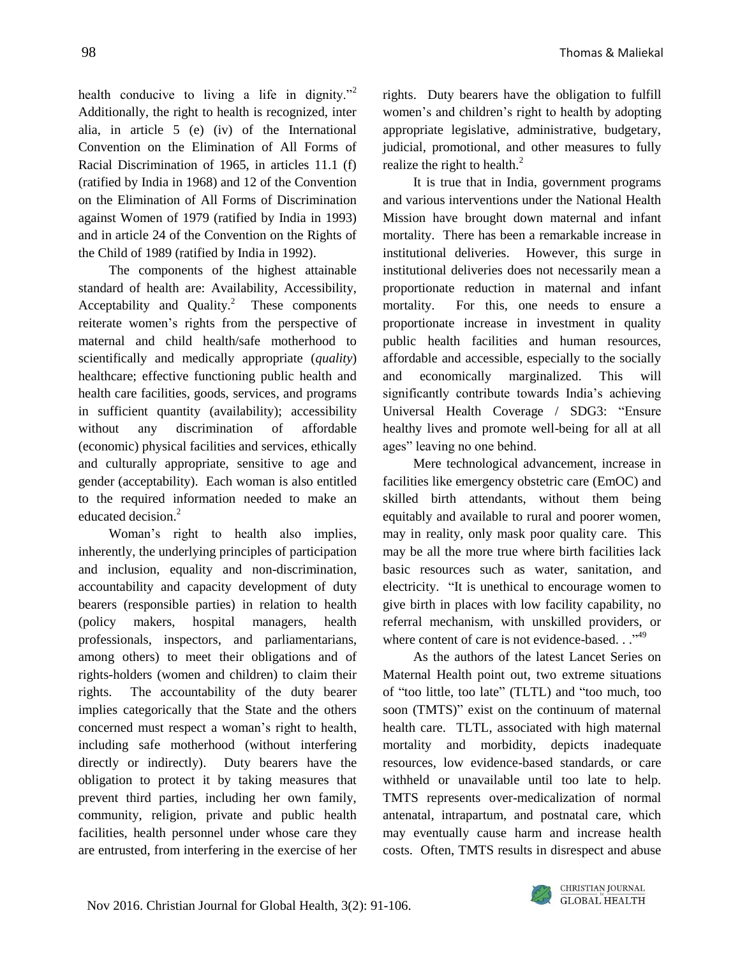health conducive to living a life in dignity." Additionally, the right to health is recognized, inter alia, in article 5 (e) (iv) of the International Convention on the Elimination of All Forms of Racial Discrimination of 1965, in articles 11.1 (f) (ratified by India in 1968) and 12 of the Convention on the Elimination of All Forms of Discrimination against Women of 1979 (ratified by India in 1993) and in article 24 of the Convention on the Rights of the Child of 1989 (ratified by India in 1992).

The components of the highest attainable standard of health are: Availability, Accessibility, Acceptability and Quality. $^2$  These components reiterate women's rights from the perspective of maternal and child health/safe motherhood to scientifically and medically appropriate (*quality*) healthcare; effective functioning public health and health care facilities, goods, services, and programs in sufficient quantity (availability); accessibility without any discrimination of affordable (economic) physical facilities and services, ethically and culturally appropriate, sensitive to age and gender (acceptability). Each woman is also entitled to the required information needed to make an educated decision.<sup>2</sup>

Woman's right to health also implies, inherently, the underlying principles of participation and inclusion, equality and non-discrimination, accountability and capacity development of duty bearers (responsible parties) in relation to health (policy makers, hospital managers, health professionals, inspectors, and parliamentarians, among others) to meet their obligations and of rights*-*holders (women and children) to claim their rights. The accountability of the duty bearer implies categorically that the State and the others concerned must respect a woman's right to health, including safe motherhood (without interfering directly or indirectly). Duty bearers have the obligation to protect it by taking measures that prevent third parties, including her own family, community, religion, private and public health facilities, health personnel under whose care they are entrusted, from interfering in the exercise of her rights. Duty bearers have the obligation to fulfill women's and children's right to health by adopting appropriate legislative, administrative, budgetary, judicial, promotional, and other measures to fully realize the right to health.<sup>2</sup>

It is true that in India, government programs and various interventions under the National Health Mission have brought down maternal and infant mortality. There has been a remarkable increase in institutional deliveries. However, this surge in institutional deliveries does not necessarily mean a proportionate reduction in maternal and infant mortality. For this, one needs to ensure a proportionate increase in investment in quality public health facilities and human resources, affordable and accessible, especially to the socially and economically marginalized. This will significantly contribute towards India's achieving Universal Health Coverage / SDG3: "Ensure healthy lives and promote well-being for all at all ages" leaving no one behind.

Mere technological advancement, increase in facilities like emergency obstetric care (EmOC) and skilled birth attendants, without them being equitably and available to rural and poorer women, may in reality, only mask poor quality care. This may be all the more true where birth facilities lack basic resources such as water, sanitation, and electricity. "It is unethical to encourage women to give birth in places with low facility capability, no referral mechanism, with unskilled providers, or where content of care is not evidence-based..."<sup>49</sup>

As the authors of the latest Lancet Series on Maternal Health point out, two extreme situations of "too little, too late" (TLTL) and "too much, too soon (TMTS)" exist on the continuum of maternal health care. TLTL, associated with high maternal mortality and morbidity, depicts inadequate resources, low evidence-based standards, or care withheld or unavailable until too late to help. TMTS represents over-medicalization of normal antenatal, intrapartum, and postnatal care, which may eventually cause harm and increase health costs. Often, TMTS results in disrespect and abuse

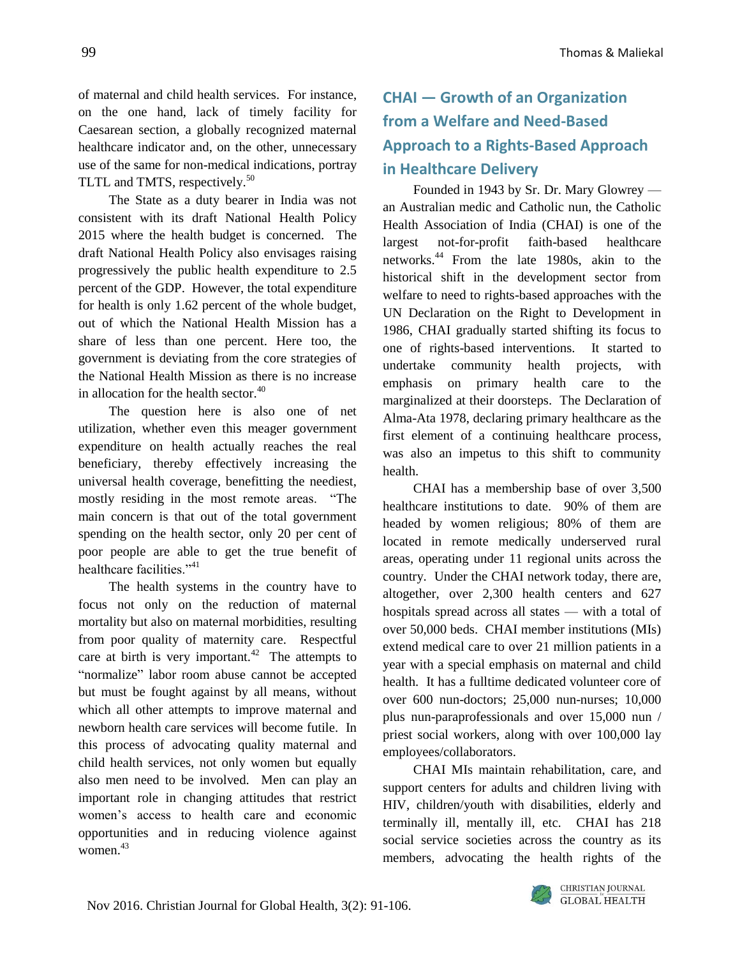of maternal and child health services. For instance, on the one hand, lack of timely facility for Caesarean section, a globally recognized maternal healthcare indicator and, on the other, unnecessary use of the same for non-medical indications, portray TLTL and TMTS, respectively.<sup>50</sup>

The State as a duty bearer in India was not consistent with its draft National Health Policy 2015 where the health budget is concerned. The draft National Health Policy also envisages raising progressively the public health expenditure to 2.5 percent of the GDP. However, the total expenditure for health is only 1.62 percent of the whole budget, out of which the National Health Mission has a share of less than one percent. Here too, the government is deviating from the core strategies of the National Health Mission as there is no increase in allocation for the health sector.<sup>40</sup>

The question here is also one of net utilization, whether even this meager government expenditure on health actually reaches the real beneficiary, thereby effectively increasing the universal health coverage, benefitting the neediest, mostly residing in the most remote areas. "The main concern is that out of the total government spending on the health sector, only 20 per cent of poor people are able to get the true benefit of healthcare facilities."<sup>41</sup>

The health systems in the country have to focus not only on the reduction of maternal mortality but also on maternal morbidities, resulting from poor quality of maternity care. Respectful care at birth is very important.<sup>42</sup> The attempts to "normalize" labor room abuse cannot be accepted but must be fought against by all means, without which all other attempts to improve maternal and newborn health care services will become futile. In this process of advocating quality maternal and child health services, not only women but equally also men need to be involved. Men can play an important role in changing attitudes that restrict women's access to health care and economic opportunities and in reducing violence against women. 43

# **CHAI — Growth of an Organization from a Welfare and Need-Based Approach to a Rights-Based Approach in Healthcare Delivery**

Founded in 1943 by Sr. Dr. Mary Glowrey an Australian medic and Catholic nun, the Catholic Health Association of India (CHAI) is one of the largest not-for-profit faith-based healthcare networks.<sup>44</sup> From the late 1980s, akin to the historical shift in the development sector from welfare to need to rights-based approaches with the UN Declaration on the Right to Development in 1986, CHAI gradually started shifting its focus to one of rights-based interventions. It started to undertake community health projects, with emphasis on primary health care to the marginalized at their doorsteps. The Declaration of Alma-Ata 1978, declaring primary healthcare as the first element of a continuing healthcare process, was also an impetus to this shift to community health.

CHAI has a membership base of over 3,500 healthcare institutions to date. 90% of them are headed by women religious; 80% of them are located in remote medically underserved rural areas, operating under 11 regional units across the country. Under the CHAI network today, there are, altogether, over 2,300 health centers and 627 hospitals spread across all states — with a total of over 50,000 beds. CHAI member institutions (MIs) extend medical care to over 21 million patients in a year with a special emphasis on maternal and child health. It has a fulltime dedicated volunteer core of over 600 nun-doctors; 25,000 nun-nurses; 10,000 plus nun-paraprofessionals and over 15,000 nun / priest social workers, along with over 100,000 lay employees/collaborators.

CHAI MIs maintain rehabilitation, care, and support centers for adults and children living with HIV, children/youth with disabilities, elderly and terminally ill, mentally ill, etc. CHAI has 218 social service societies across the country as its members, advocating the health rights of the

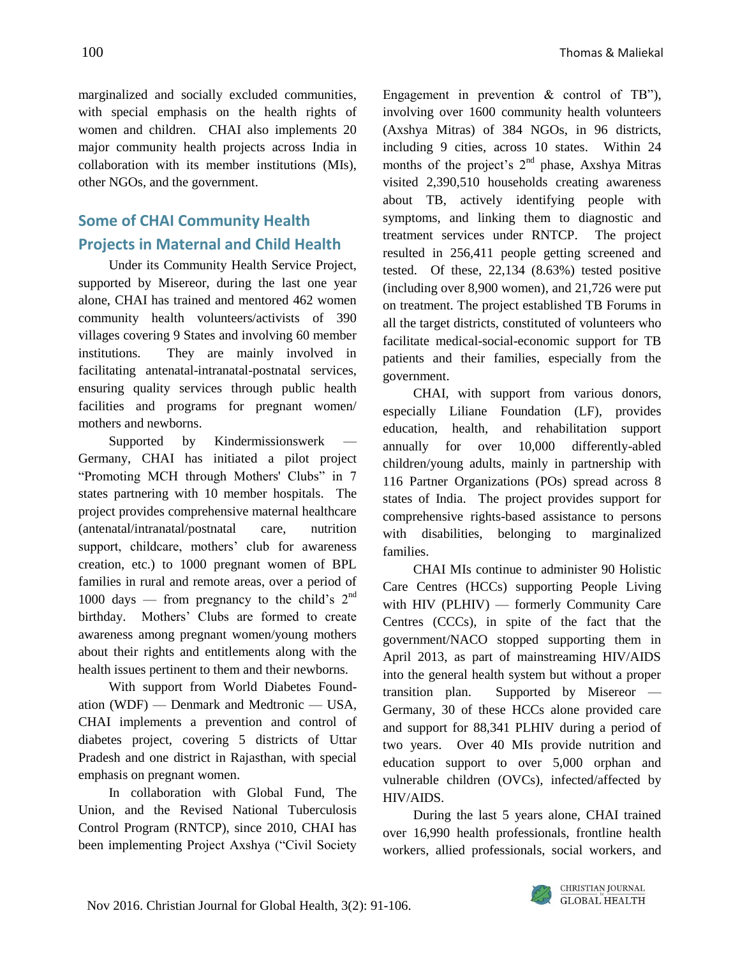marginalized and socially excluded communities, with special emphasis on the health rights of women and children. CHAI also implements 20 major community health projects across India in collaboration with its member institutions (MIs), other NGOs, and the government.

### **Some of CHAI Community Health Projects in Maternal and Child Health**

Under its Community Health Service Project, supported by Misereor, during the last one year alone, CHAI has trained and mentored 462 women community health volunteers/activists of 390 villages covering 9 States and involving 60 member institutions. They are mainly involved in facilitating antenatal-intranatal-postnatal services, ensuring quality services through public health facilities and programs for pregnant women/ mothers and newborns.

Supported by Kindermissionswerk Germany, CHAI has initiated a pilot project "Promoting MCH through Mothers' Clubs" in 7 states partnering with 10 member hospitals. The project provides comprehensive maternal healthcare (antenatal/intranatal/postnatal care, nutrition support, childcare, mothers' club for awareness creation, etc.) to 1000 pregnant women of BPL families in rural and remote areas, over a period of 1000 days — from pregnancy to the child's  $2<sup>nd</sup>$ birthday. Mothers' Clubs are formed to create awareness among pregnant women/young mothers about their rights and entitlements along with the health issues pertinent to them and their newborns.

With support from World Diabetes Foundation (WDF) — Denmark and Medtronic — USA, CHAI implements a prevention and control of diabetes project, covering 5 districts of Uttar Pradesh and one district in Rajasthan, with special emphasis on pregnant women.

In collaboration with Global Fund, The Union, and the Revised National Tuberculosis Control Program (RNTCP), since 2010, CHAI has been implementing Project Axshya ("Civil Society Engagement in prevention & control of TB"), involving over 1600 community health volunteers (Axshya Mitras) of 384 NGOs, in 96 districts, including 9 cities, across 10 states. Within 24 months of the project's  $2<sup>nd</sup>$  phase, Axshya Mitras visited 2,390,510 households creating awareness about TB, actively identifying people with symptoms, and linking them to diagnostic and treatment services under RNTCP. The project resulted in 256,411 people getting screened and tested. Of these, 22,134 (8.63%) tested positive (including over 8,900 women), and 21,726 were put on treatment. The project established TB Forums in all the target districts, constituted of volunteers who facilitate medical-social-economic support for TB patients and their families, especially from the government.

CHAI, with support from various donors, especially Liliane Foundation (LF), provides education, health, and rehabilitation support annually for over 10,000 differently-abled children/young adults, mainly in partnership with 116 Partner Organizations (POs) spread across 8 states of India. The project provides support for comprehensive rights-based assistance to persons with disabilities, belonging to marginalized families.

CHAI MIs continue to administer 90 Holistic Care Centres (HCCs) supporting People Living with HIV (PLHIV) — formerly Community Care Centres (CCCs), in spite of the fact that the government/NACO stopped supporting them in April 2013, as part of mainstreaming HIV/AIDS into the general health system but without a proper transition plan. Supported by Misereor — Germany, 30 of these HCCs alone provided care and support for 88,341 PLHIV during a period of two years. Over 40 MIs provide nutrition and education support to over 5,000 orphan and vulnerable children (OVCs), infected/affected by HIV/AIDS.

During the last 5 years alone, CHAI trained over 16,990 health professionals, frontline health workers, allied professionals, social workers, and

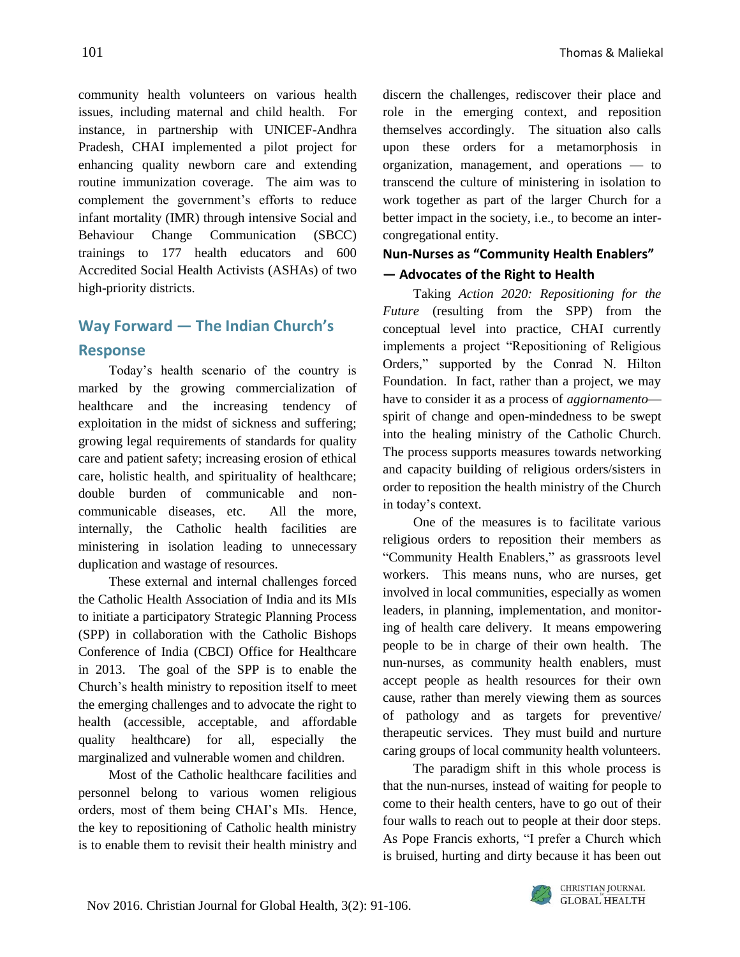community health volunteers on various health issues, including maternal and child health. For instance, in partnership with UNICEF-Andhra Pradesh, CHAI implemented a pilot project for enhancing quality newborn care and extending routine immunization coverage. The aim was to complement the government's efforts to reduce infant mortality (IMR) through intensive Social and Behaviour Change Communication (SBCC) trainings to 177 health educators and 600 Accredited Social Health Activists (ASHAs) of two high-priority districts.

## **Way Forward — The Indian Church's Response**

Today's health scenario of the country is marked by the growing commercialization of healthcare and the increasing tendency of exploitation in the midst of sickness and suffering; growing legal requirements of standards for quality care and patient safety; increasing erosion of ethical care, holistic health, and spirituality of healthcare; double burden of communicable and noncommunicable diseases, etc. All the more, internally, the Catholic health facilities are ministering in isolation leading to unnecessary duplication and wastage of resources.

These external and internal challenges forced the Catholic Health Association of India and its MIs to initiate a participatory Strategic Planning Process (SPP) in collaboration with the Catholic Bishops Conference of India (CBCI) Office for Healthcare in 2013. The goal of the SPP is to enable the Church's health ministry to reposition itself to meet the emerging challenges and to advocate the right to health (accessible, acceptable, and affordable quality healthcare) for all, especially the marginalized and vulnerable women and children.

Most of the Catholic healthcare facilities and personnel belong to various women religious orders, most of them being CHAI's MIs. Hence, the key to repositioning of Catholic health ministry is to enable them to revisit their health ministry and discern the challenges, rediscover their place and role in the emerging context, and reposition themselves accordingly. The situation also calls upon these orders for a metamorphosis in organization, management, and operations — to transcend the culture of ministering in isolation to work together as part of the larger Church for a better impact in the society, i.e., to become an intercongregational entity.

### **Nun-Nurses as "Community Health Enablers" — Advocates of the Right to Health**

Taking *Action 2020: Repositioning for the Future* (resulting from the SPP) from the conceptual level into practice, CHAI currently implements a project "Repositioning of Religious Orders," supported by the Conrad N. Hilton Foundation. In fact, rather than a project, we may have to consider it as a process of *aggiornamento* spirit of change and open-mindedness to be swept into the healing ministry of the Catholic Church. The process supports measures towards networking and capacity building of religious orders/sisters in order to reposition the health ministry of the Church in today's context.

One of the measures is to facilitate various religious orders to reposition their members as "Community Health Enablers," as grassroots level workers. This means nuns, who are nurses, get involved in local communities, especially as women leaders, in planning, implementation, and monitoring of health care delivery. It means empowering people to be in charge of their own health. The nun-nurses, as community health enablers, must accept people as health resources for their own cause, rather than merely viewing them as sources of pathology and as targets for preventive/ therapeutic services. They must build and nurture caring groups of local community health volunteers.

The paradigm shift in this whole process is that the nun-nurses, instead of waiting for people to come to their health centers, have to go out of their four walls to reach out to people at their door steps. As Pope Francis exhorts, "I prefer a Church which is bruised, hurting and dirty because it has been out

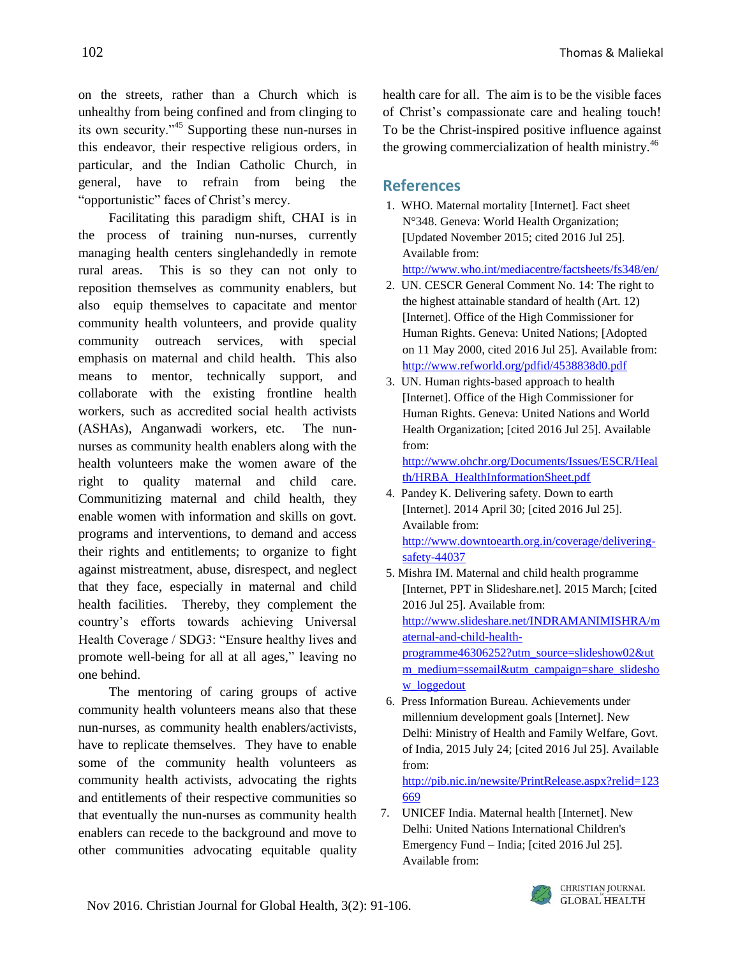on the streets, rather than a Church which is unhealthy from being confined and from clinging to its own security."<sup>45</sup> Supporting these nun-nurses in this endeavor, their respective religious orders, in particular, and the Indian Catholic Church, in general, have to refrain from being the "opportunistic" faces of Christ's mercy.

Facilitating this paradigm shift, CHAI is in the process of training nun-nurses, currently managing health centers singlehandedly in remote rural areas. This is so they can not only to reposition themselves as community enablers, but also equip themselves to capacitate and mentor community health volunteers, and provide quality community outreach services, with special emphasis on maternal and child health. This also means to mentor, technically support, and collaborate with the existing frontline health workers, such as accredited social health activists (ASHAs), Anganwadi workers, etc. The nunnurses as community health enablers along with the health volunteers make the women aware of the right to quality maternal and child care. Communitizing maternal and child health, they enable women with information and skills on govt. programs and interventions, to demand and access their rights and entitlements; to organize to fight against mistreatment, abuse, disrespect, and neglect that they face, especially in maternal and child health facilities. Thereby, they complement the country's efforts towards achieving Universal Health Coverage / SDG3: "Ensure healthy lives and promote well-being for all at all ages," leaving no one behind.

The mentoring of caring groups of active community health volunteers means also that these nun-nurses, as community health enablers/activists, have to replicate themselves. They have to enable some of the community health volunteers as community health activists, advocating the rights and entitlements of their respective communities so that eventually the nun-nurses as community health enablers can recede to the background and move to other communities advocating equitable quality

health care for all. The aim is to be the visible faces of Christ's compassionate care and healing touch! To be the Christ-inspired positive influence against the growing commercialization of health ministry.<sup>46</sup>

### **References**

- 1. WHO. Maternal mortality [Internet]. Fact sheet N°348. Geneva: World Health Organization; [Updated November 2015; cited 2016 Jul 25]. Available from: <http://www.who.int/mediacentre/factsheets/fs348/en/>
- 2. UN. CESCR General Comment No. 14: The right to the highest attainable standard of health (Art. 12) [Internet]. Office of the High Commissioner for Human Rights. Geneva: United Nations; [Adopted on 11 May 2000, cited 2016 Jul 25]. Available from: <http://www.refworld.org/pdfid/4538838d0.pdf>
- 3. UN. Human rights-based approach to health [Internet]. Office of the High Commissioner for Human Rights. Geneva: United Nations and World Health Organization; [cited 2016 Jul 25]. Available from:

[http://www.ohchr.org/Documents/Issues/ESCR/Heal](http://www.ohchr.org/Documents/Issues/ESCR/Health/HRBA_HealthInformationSheet.pdf) [th/HRBA\\_HealthInformationSheet.pdf](http://www.ohchr.org/Documents/Issues/ESCR/Health/HRBA_HealthInformationSheet.pdf)

- 4. Pandey K. Delivering safety. Down to earth [Internet]. 2014 April 30; [cited 2016 Jul 25]. Available from: [http://www.downtoearth.org.in/coverage/delivering](http://www.downtoearth.org.in/coverage/delivering-safety-44037)[safety-44037](http://www.downtoearth.org.in/coverage/delivering-safety-44037)
- 5. Mishra IM. Maternal and child health programme [Internet, PPT in Slideshare.net]. 2015 March; [cited 2016 Jul 25]. Available from: [http://www.slideshare.net/INDRAMANIMISHRA/m](http://www.slideshare.net/INDRAMANIMISHRA/maternal-and-child-health-programme46306252?utm_source=slideshow02&utm_medium=ssemail&utm_campaign=share_slideshow_loggedout) [aternal-and-child-health](http://www.slideshare.net/INDRAMANIMISHRA/maternal-and-child-health-programme46306252?utm_source=slideshow02&utm_medium=ssemail&utm_campaign=share_slideshow_loggedout)[programme46306252?utm\\_source=slideshow02&ut](http://www.slideshare.net/INDRAMANIMISHRA/maternal-and-child-health-programme46306252?utm_source=slideshow02&utm_medium=ssemail&utm_campaign=share_slideshow_loggedout) [m\\_medium=ssemail&utm\\_campaign=share\\_slidesho](http://www.slideshare.net/INDRAMANIMISHRA/maternal-and-child-health-programme46306252?utm_source=slideshow02&utm_medium=ssemail&utm_campaign=share_slideshow_loggedout) w loggedout
- 6. Press Information Bureau. Achievements under millennium development goals [Internet]. New Delhi: Ministry of Health and Family Welfare, Govt. of India, 2015 July 24; [cited 2016 Jul 25]. Available from:

[http://pib.nic.in/newsite/PrintRelease.aspx?relid=123](http://pib.nic.in/newsite/PrintRelease.aspx?relid=123669) [669](http://pib.nic.in/newsite/PrintRelease.aspx?relid=123669)

7. UNICEF India. Maternal health [Internet]. New Delhi: United Nations International Children's Emergency Fund – India; [cited 2016 Jul 25]. Available from:

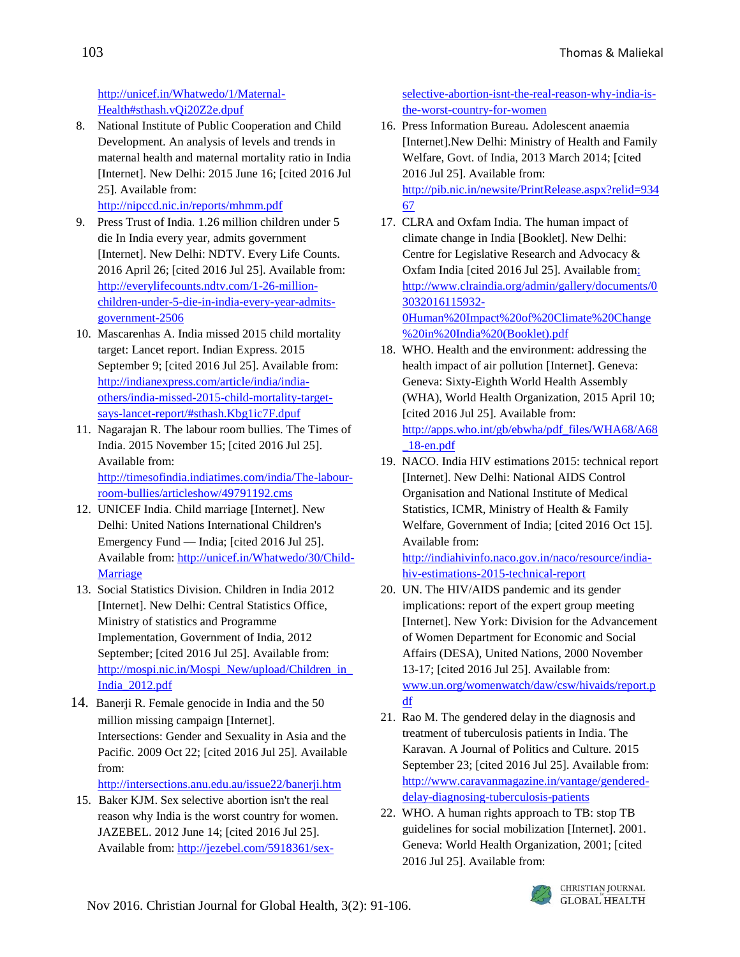[http://unicef.in/Whatwedo/1/Maternal-](http://unicef.in/Whatwedo/1/Maternal-Health%23sthash.vQi20Z2e.dpuf)[Health#sthash.vQi20Z2e.dpuf](http://unicef.in/Whatwedo/1/Maternal-Health%23sthash.vQi20Z2e.dpuf) 

8. National Institute of Public Cooperation and Child Development. An analysis of levels and trends in maternal health and maternal mortality ratio in India [Internet]. New Delhi: 2015 June 16; [cited 2016 Jul 25]. Available from:

<http://nipccd.nic.in/reports/mhmm.pdf>

- 9. Press Trust of India. 1.26 million children under 5 die In India every year, admits government [Internet]. New Delhi: NDTV. Every Life Counts. 2016 April 26; [cited 2016 Jul 25]. Available from: [http://everylifecounts.ndtv.com/1-26-million](http://everylifecounts.ndtv.com/1-26-million-children-under-5-die-in-india-every-year-admits-government-2506)[children-under-5-die-in-india-every-year-admits](http://everylifecounts.ndtv.com/1-26-million-children-under-5-die-in-india-every-year-admits-government-2506)[government-2506](http://everylifecounts.ndtv.com/1-26-million-children-under-5-die-in-india-every-year-admits-government-2506)
- 10. Mascarenhas A. India missed 2015 child mortality target: Lancet report. Indian Express. 2015 September 9; [cited 2016 Jul 25]. Available from: [http://indianexpress.com/article/india/india](http://indianexpress.com/article/india/india-others/india-missed-2015-child-mortality-target-says-lancet-report/%23sthash.Kbg1ic7F.dpuf)[others/india-missed-2015-child-mortality-target](http://indianexpress.com/article/india/india-others/india-missed-2015-child-mortality-target-says-lancet-report/%23sthash.Kbg1ic7F.dpuf)[says-lancet-report/#sthash.Kbg1ic7F.dpuf](http://indianexpress.com/article/india/india-others/india-missed-2015-child-mortality-target-says-lancet-report/%23sthash.Kbg1ic7F.dpuf)
- 11. Nagarajan R. The labour room bullies. The Times of India. 2015 November 15; [cited 2016 Jul 25]. Available from: [http://timesofindia.indiatimes.com/india/The-labour](http://timesofindia.indiatimes.com/india/The-labour-room-bullies/articleshow/49791192.cms)[room-bullies/articleshow/49791192.cms](http://timesofindia.indiatimes.com/india/The-labour-room-bullies/articleshow/49791192.cms)
- 12. UNICEF India. Child marriage [Internet]. New Delhi: United Nations International Children's Emergency Fund — India; [cited 2016 Jul 25]. Available from: [http://unicef.in/Whatwedo/30/Child-](http://unicef.in/Whatwedo/30/Child-Marriage)[Marriage](http://unicef.in/Whatwedo/30/Child-Marriage)
- 13. Social Statistics Division. Children in India 2012 [Internet]. New Delhi: Central Statistics Office, Ministry of statistics and Programme Implementation, Government of India, 2012 September; [cited 2016 Jul 25]. Available from: http://mospi.nic.in/Mospi\_New/upload/Children\_in [India\\_2012.pdf](http://mospi.nic.in/Mospi_New/upload/Children_in_India_2012.pdf)
- 14. [Banerji](mailto:banerji.rita@gmail.com) R. Female genocide in India and the 50 million missing campaign [Internet]. Intersections: Gender and Sexuality in Asia and the Pacific. 2009 Oct 22; [cited 2016 Jul 25]*.* Available from:

<http://intersections.anu.edu.au/issue22/banerji.htm>

15. [Baker](http://kinja.com/katiejmbaker) KJM. [Sex selective abortion isn't the real](http://jezebel.com/5918361/sex-selective-abortion-isnt-the-real-reason-why-india-is-the-worst-country-for-women)  [reason why India is the worst country for women.](http://jezebel.com/5918361/sex-selective-abortion-isnt-the-real-reason-why-india-is-the-worst-country-for-women) JAZEBEL. 2012 June 14; [cited 2016 Jul 25]. Available from: [http://jezebel.com/5918361/sex-](http://jezebel.com/5918361/sex-selective-abortion-isnt-the-real-reason-why-india-is-the-worst-country-for-women) [selective-abortion-isnt-the-real-reason-why-india-is](http://jezebel.com/5918361/sex-selective-abortion-isnt-the-real-reason-why-india-is-the-worst-country-for-women)[the-worst-country-for-women](http://jezebel.com/5918361/sex-selective-abortion-isnt-the-real-reason-why-india-is-the-worst-country-for-women)

- 16. Press Information Bureau. Adolescent anaemia [Internet].New Delhi: Ministry of Health and Family Welfare, Govt. of India, 2013 March 2014; [cited 2016 Jul 25]. Available from: [http://pib.nic.in/newsite/PrintRelease.aspx?relid=934](http://pib.nic.in/newsite/PrintRelease.aspx?relid=93467) [67](http://pib.nic.in/newsite/PrintRelease.aspx?relid=93467)
- 17. CLRA and Oxfam India. The human impact of climate change in India [Booklet]. New Delhi: Centre for Legislative Research and Advocacy & Oxfam India [cited 2016 Jul 25]. Available fro[m:](file:///C:/Users/User/AppData/Local/Temp/:%20http:/www.clraindia.org/admin/gallery/documents/03032016115932-0Human%20Impact%20of%20Climate%20Change%20in%20India%20(Booklet).pdf)  [http://www.clraindia.org/admin/gallery/documents/0](file:///C:/Users/User/AppData/Local/Temp/:%20http:/www.clraindia.org/admin/gallery/documents/03032016115932-0Human%20Impact%20of%20Climate%20Change%20in%20India%20(Booklet).pdf) [3032016115932-](file:///C:/Users/User/AppData/Local/Temp/:%20http:/www.clraindia.org/admin/gallery/documents/03032016115932-0Human%20Impact%20of%20Climate%20Change%20in%20India%20(Booklet).pdf) [0Human%20Impact%20of%20Climate%20Change](file:///C:/Users/User/AppData/Local/Temp/:%20http:/www.clraindia.org/admin/gallery/documents/03032016115932-0Human%20Impact%20of%20Climate%20Change%20in%20India%20(Booklet).pdf) [%20in%20India%20\(Booklet\).pdf](file:///C:/Users/User/AppData/Local/Temp/:%20http:/www.clraindia.org/admin/gallery/documents/03032016115932-0Human%20Impact%20of%20Climate%20Change%20in%20India%20(Booklet).pdf)
- 18. WHO. Health and the environment: addressing the health impact of air pollution [Internet]. Geneva: Geneva: Sixty-Eighth World Health Assembly (WHA), World Health Organization, 2015 April 10; [cited 2016 Jul 25]. Available from: [http://apps.who.int/gb/ebwha/pdf\\_files/WHA68/A68](http://apps.who.int/gb/ebwha/pdf_files/WHA68/A68_18-en.pdf) [\\_18-en.pdf](http://apps.who.int/gb/ebwha/pdf_files/WHA68/A68_18-en.pdf)
- 19. NACO. India HIV estimations 2015: technical report [Internet]. New Delhi: National AIDS Control Organisation and National Institute of Medical Statistics, ICMR, Ministry of Health & Family Welfare, Government of India; [cited 2016 Oct 15]. Available from:

[http://indiahivinfo.naco.gov.in/naco/resource/india](http://indiahivinfo.naco.gov.in/naco/resource/india-hiv-estimations-2015-technical-report)[hiv-estimations-2015-technical-report](http://indiahivinfo.naco.gov.in/naco/resource/india-hiv-estimations-2015-technical-report)

- 20. UN. The HIV/AIDS pandemic and its gender implications: report of the expert group meeting [Internet]. New York: Division for the Advancement of Women Department for Economic and Social Affairs (DESA), United Nations, 2000 November 13-17; [cited 2016 Jul 25]. Available from: [www.un.org/womenwatch/daw/csw/hivaids/report.p](file:///C:/Users/User/AppData/Local/Temp/www.un.org/womenwatch/daw/csw/hivaids/report.pdf) [df](file:///C:/Users/User/AppData/Local/Temp/www.un.org/womenwatch/daw/csw/hivaids/report.pdf)
- 21. Rao M. The gendered delay in the diagnosis and treatment of tuberculosis patients in India. The Karavan. A Journal of Politics and Culture. 2015 September 23; [cited 2016 Jul 25]. Available from: [http://www.caravanmagazine.in/vantage/gendered](http://www.caravanmagazine.in/vantage/gendered-delay-diagnosing-tuberculosis-patients)[delay-diagnosing-tuberculosis-patients](http://www.caravanmagazine.in/vantage/gendered-delay-diagnosing-tuberculosis-patients)
- 22. WHO. A human rights approach to TB: stop TB guidelines for social mobilization [Internet]. 2001. Geneva: World Health Organization, 2001; [cited 2016 Jul 25]. Available from:

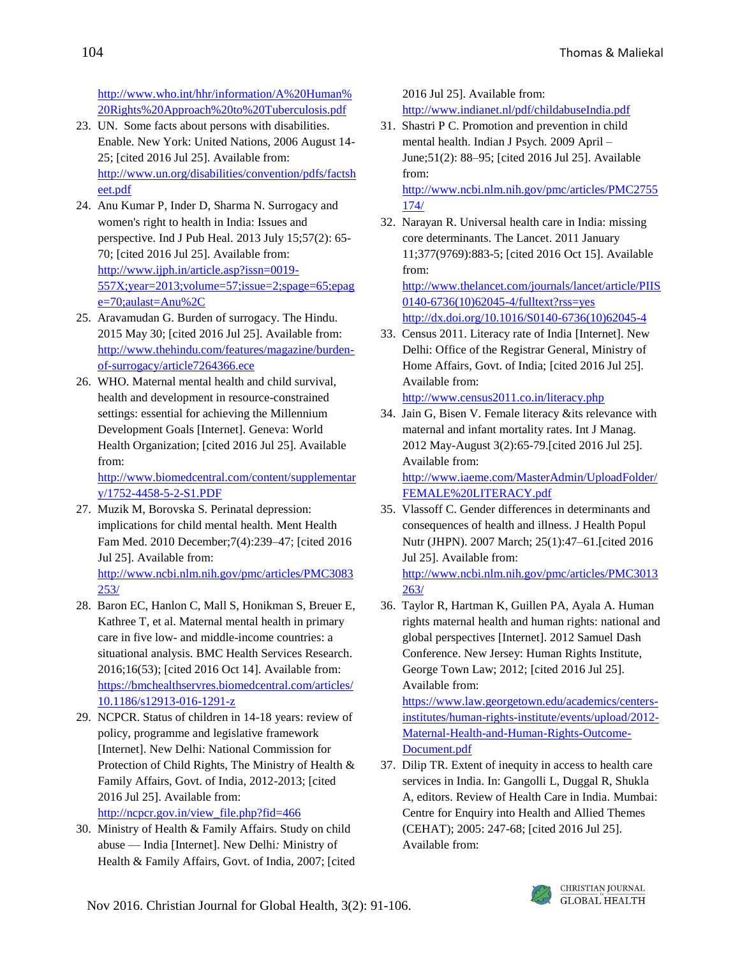[http://www.who.int/hhr/information/A%20Human%](http://www.who.int/hhr/information/A%20Human%20Rights%20Approach%20to%20Tuberculosis.pdf) [20Rights%20Approach%20to%20Tuberculosis.pdf](http://www.who.int/hhr/information/A%20Human%20Rights%20Approach%20to%20Tuberculosis.pdf)

- 23. UN. Some facts about persons with disabilities. Enable. New York: United Nations, 2006 August 14- 25; [cited 2016 Jul 25]. Available from: [http://www.un.org/disabilities/convention/pdfs/factsh](http://www.un.org/disabilities/convention/pdfs/factsheet.pdf) [eet.pdf](http://www.un.org/disabilities/convention/pdfs/factsheet.pdf)
- 24. Anu Kumar P, Inder D, Sharma N. Surrogacy and women's right to health in India: Issues and perspective. Ind J Pub Heal. 2013 July 15;57(2): 65- 70; [cited 2016 Jul 25]. Available from: [http://www.ijph.in/article.asp?issn=0019-](http://www.ijph.in/article.asp?issn=0019-557X;year=2013;volume=57;issue=2;spage=65;epage=70;aulast=Anu%2C) [557X;year=2013;volume=57;issue=2;spage=65;epag](http://www.ijph.in/article.asp?issn=0019-557X;year=2013;volume=57;issue=2;spage=65;epage=70;aulast=Anu%2C) [e=70;aulast=Anu%2C](http://www.ijph.in/article.asp?issn=0019-557X;year=2013;volume=57;issue=2;spage=65;epage=70;aulast=Anu%2C)
- 25. Aravamudan G. Burden of surrogacy. The Hindu. 2015 May 30; [cited 2016 Jul 25]. Available from: [http://www.thehindu.com/features/magazine/burden](http://www.thehindu.com/features/magazine/burden-of-surrogacy/article7264366.ece)[of-surrogacy/article7264366.ece](http://www.thehindu.com/features/magazine/burden-of-surrogacy/article7264366.ece)
- 26. WHO. Maternal mental health and child survival, health and development in resource-constrained settings: essential for achieving the Millennium Development Goals [Internet]. Geneva: World Health Organization; [cited 2016 Jul 25]. Available from:

[http://www.biomedcentral.com/content/supplementar](http://www.biomedcentral.com/content/supplementary/1752-4458-5-2-S1.PDF) [y/1752-4458-5-2-S1.PDF](http://www.biomedcentral.com/content/supplementary/1752-4458-5-2-S1.PDF)

- 27. Muzik M, Borovska S. Perinatal depression: implications for child mental health. Ment Health Fam Med. 2010 December;7(4):239–47; [cited 2016 Jul 25]. Available from: [http://www.ncbi.nlm.nih.gov/pmc/articles/PMC3083](http://www.ncbi.nlm.nih.gov/pmc/articles/PMC3083253/) [253/](http://www.ncbi.nlm.nih.gov/pmc/articles/PMC3083253/)
- 28. Baron EC, Hanlon C, Mall S, Honikman S, Breuer E, Kathree T, et al. Maternal mental health in primary care in five low- and middle-income countries: a situational analysis. BMC Health Services Research. 2016;16(53); [cited 2016 Oct 14]. Available from: [https://bmchealthservres.biomedcentral.com/articles/](https://bmchealthservres.biomedcentral.com/articles/10.1186/s12913-016-1291-z) [10.1186/s12913-016-1291-z](https://bmchealthservres.biomedcentral.com/articles/10.1186/s12913-016-1291-z)
- 29. NCPCR. Status of children in 14-18 years: review of policy, programme and legislative framework [Internet]. New Delhi: National Commission for Protection of Child Rights, The Ministry of Health & Family Affairs, Govt. of India, 2012-2013; [cited 2016 Jul 25]. Available from: [http://ncpcr.gov.in/view\\_file.php?fid=466](http://ncpcr.gov.in/view_file.php?fid=466)
- 30. Ministry of Health & Family Affairs. Study on child abuse — India [Internet]. New Delhi*:* Ministry of Health & Family Affairs, Govt. of India, 2007; [cited

2016 Jul 25]. Available from: <http://www.indianet.nl/pdf/childabuseIndia.pdf>

- 31. Shastri P C. Promotion and prevention in child mental health. Indian J Psych. 2009 April – June;51(2): 88–95; [cited 2016 Jul 25]. Available from: [http://www.ncbi.nlm.nih.gov/pmc/articles/PMC2755](http://www.ncbi.nlm.nih.gov/pmc/articles/PMC2755174/)
- [174/](http://www.ncbi.nlm.nih.gov/pmc/articles/PMC2755174/) 32. Narayan R. Universal health care in India: missing core determinants. The Lancet. 2011 January 11;377(9769):883-5; [cited 2016 Oct 15]. Available from: [http://www.thelancet.com/journals/lancet/article/PIIS](http://www.thelancet.com/journals/lancet/article/PIIS0140-6736(10)62045-4/fulltext?rss=yes) [0140-6736\(10\)62045-4/fulltext?rss=yes](http://www.thelancet.com/journals/lancet/article/PIIS0140-6736(10)62045-4/fulltext?rss=yes)

[http://dx.doi.org/10.1016/S0140-6736\(10\)62045-4](http://dx.doi.org/10.1016/S0140-6736(10)62045-4)

- 33. Census 2011. Literacy rate of India [Internet]. New Delhi: Office of the Registrar General, Ministry of Home Affairs, Govt. of India; [cited 2016 Jul 25]. Available from: <http://www.census2011.co.in/literacy.php>
- 34. Jain G, Bisen V. Female literacy &its relevance with maternal and infant mortality rates. Int J Manag. 2012 May-August 3(2):65-79.[cited 2016 Jul 25]. Available from: [http://www.iaeme.com/MasterAdmin/UploadFolder/](http://www.iaeme.com/MasterAdmin/UploadFolder/FEMALE%20LITERACY.pdf) [FEMALE%20LITERACY.pdf](http://www.iaeme.com/MasterAdmin/UploadFolder/FEMALE%20LITERACY.pdf)
- 35. Vlassoff C. Gender differences in determinants and consequences of health and illness. J Health Popul Nutr (JHPN). 2007 March; 25(1):47–61.[cited 2016 Jul 25]. Available from: [http://www.ncbi.nlm.nih.gov/pmc/articles/PMC3013](http://www.ncbi.nlm.nih.gov/pmc/articles/PMC3013263/) [263/](http://www.ncbi.nlm.nih.gov/pmc/articles/PMC3013263/)
- 36. Taylor R, Hartman K, Guillen PA, Ayala A. Human rights maternal health and human rights: national and global perspectives [Internet]. 2012 Samuel Dash Conference. New Jersey: Human Rights Institute, George Town Law; 2012; [cited 2016 Jul 25]. Available from:

[https://www.law.georgetown.edu/academics/centers](https://www.law.georgetown.edu/academics/centers-institutes/human-rights-institute/events/upload/2012-Maternal-Health-and-Human-Rights-Outcome-Document.pdf)[institutes/human-rights-institute/events/upload/2012-](https://www.law.georgetown.edu/academics/centers-institutes/human-rights-institute/events/upload/2012-Maternal-Health-and-Human-Rights-Outcome-Document.pdf) [Maternal-Health-and-Human-Rights-Outcome-](https://www.law.georgetown.edu/academics/centers-institutes/human-rights-institute/events/upload/2012-Maternal-Health-and-Human-Rights-Outcome-Document.pdf)[Document.pdf](https://www.law.georgetown.edu/academics/centers-institutes/human-rights-institute/events/upload/2012-Maternal-Health-and-Human-Rights-Outcome-Document.pdf)

37. Dilip TR. Extent of inequity in access to health care services in India. In: Gangolli L, Duggal R, Shukla A, editors. Review of Health Care in India. Mumbai: Centre for Enquiry into Health and Allied Themes (CEHAT); 2005: 247-68; [cited 2016 Jul 25]. Available from:

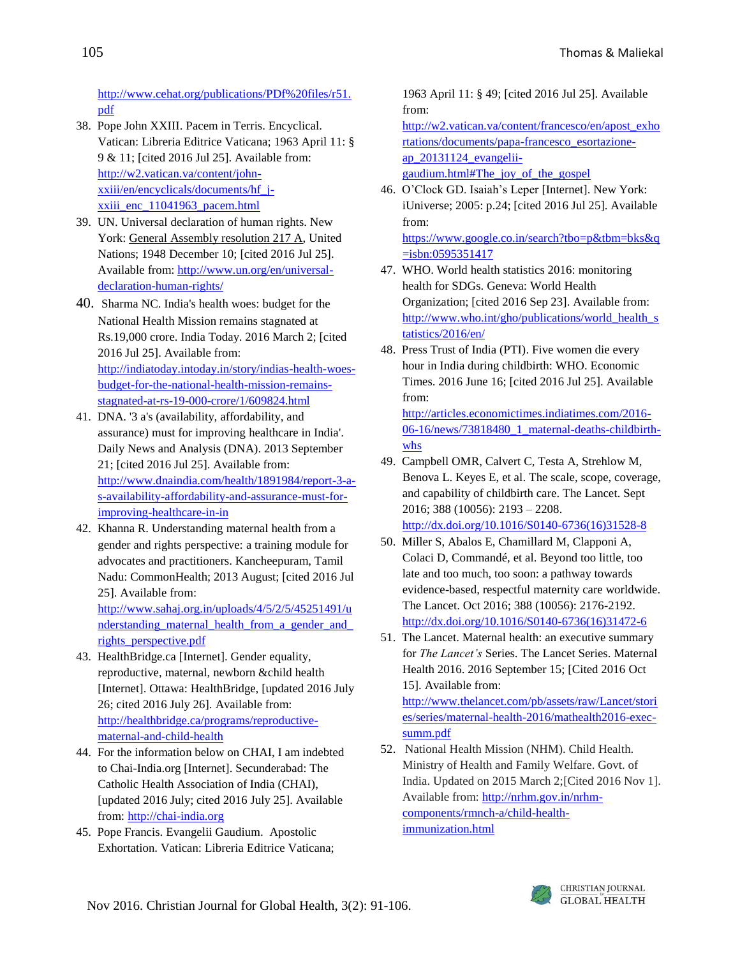[http://www.cehat.org/publications/PDf%20files/r51.](http://www.cehat.org/publications/PDf%20files/r51.pdf) [pdf](http://www.cehat.org/publications/PDf%20files/r51.pdf)

- 38. Pope John XXIII. Pacem in Terris. Encyclical. Vatican: Libreria Editrice Vaticana; 1963 April 11: § 9 & 11; [cited 2016 Jul 25]. Available from: [http://w2.vatican.va/content/john](http://w2.vatican.va/content/john-xxiii/en/encyclicals/documents/hf_j-xxiii_enc_11041963_pacem.html)[xxiii/en/encyclicals/documents/hf\\_j](http://w2.vatican.va/content/john-xxiii/en/encyclicals/documents/hf_j-xxiii_enc_11041963_pacem.html)[xxiii\\_enc\\_11041963\\_pacem.html](http://w2.vatican.va/content/john-xxiii/en/encyclicals/documents/hf_j-xxiii_enc_11041963_pacem.html)
- 39. UN. Universal declaration of human rights. New York: [General Assembly resolution 217 A,](http://daccess-dds-ny.un.org/doc/RESOLUTION/GEN/NR0/043/88/IMG/NR004388.pdf?OpenElement) United Nations; 1948 December 10; [cited 2016 Jul 25]. Available from: [http://www.un.org/en/universal](http://www.un.org/en/universal-declaration-human-rights/)[declaration-human-rights/](http://www.un.org/en/universal-declaration-human-rights/)
- 40. Sharma NC. India's health woes: budget for the National Health Mission remains stagnated at Rs.19,000 crore. India Today. 2016 March 2; [cited 2016 Jul 25]. Available from: [http://indiatoday.intoday.in/story/indias-health-woes](http://indiatoday.intoday.in/story/indias-health-woes-budget-for-the-national-health-mission-remains-stagnated-at-rs-19-000-crore/1/609824.html)[budget-for-the-national-health-mission-remains](http://indiatoday.intoday.in/story/indias-health-woes-budget-for-the-national-health-mission-remains-stagnated-at-rs-19-000-crore/1/609824.html)[stagnated-at-rs-19-000-crore/1/609824.html](http://indiatoday.intoday.in/story/indias-health-woes-budget-for-the-national-health-mission-remains-stagnated-at-rs-19-000-crore/1/609824.html)
- 41. DNA. '3 a's (availability, affordability, and assurance) must for improving healthcare in India'. Daily News and Analysis (DNA). 2013 September 21; [cited 2016 Jul 25]. Available from: [http://www.dnaindia.com/health/1891984/report-3-a](http://www.dnaindia.com/health/1891984/report-3-a-s-availability-affordability-and-assurance-must-for-improving-healthcare-in-in)[s-availability-affordability-and-assurance-must-for](http://www.dnaindia.com/health/1891984/report-3-a-s-availability-affordability-and-assurance-must-for-improving-healthcare-in-in)[improving-healthcare-in-in](http://www.dnaindia.com/health/1891984/report-3-a-s-availability-affordability-and-assurance-must-for-improving-healthcare-in-in)
- 42. Khanna R. Understanding maternal health from a gender and rights perspective: a training module for advocates and practitioners. Kancheepuram, Tamil Nadu: CommonHealth; 2013 August; [cited 2016 Jul 25]. Available from:

[http://www.sahaj.org.in/uploads/4/5/2/5/45251491/u](http://www.sahaj.org.in/uploads/4/5/2/5/45251491/understanding_maternal_health_from_a_gender_and_rights_perspective.pdf) [nderstanding\\_maternal\\_health\\_from\\_a\\_gender\\_and\\_](http://www.sahaj.org.in/uploads/4/5/2/5/45251491/understanding_maternal_health_from_a_gender_and_rights_perspective.pdf) [rights\\_perspective.pdf](http://www.sahaj.org.in/uploads/4/5/2/5/45251491/understanding_maternal_health_from_a_gender_and_rights_perspective.pdf)

- 43. HealthBridge.ca [Internet]. Gender equality, reproductive, maternal, newborn &child health [Internet]. Ottawa: HealthBridge, [updated 2016 July 26; cited 2016 July 26]. Available from: [http://healthbridge.ca/programs/reproductive](http://healthbridge.ca/programs/reproductive-maternal-and-child-health)[maternal-and-child-health](http://healthbridge.ca/programs/reproductive-maternal-and-child-health)
- 44. For the information below on CHAI, I am indebted to Chai-India.org [Internet]. Secunderabad: The Catholic Health Association of India (CHAI), [updated 2016 July; cited 2016 July 25]. Available from[: http://chai-india.org](http://chai-india.org/)
- 45. Pope Francis. Evangelii Gaudium. Apostolic Exhortation. Vatican: Libreria Editrice Vaticana;

1963 April 11: § 49; [cited 2016 Jul 25]. Available from:

[http://w2.vatican.va/content/francesco/en/apost\\_exho](http://w2.vatican.va/content/francesco/en/apost_exhortations/documents/papa-francesco_esortazione-ap_20131124_evangelii-gaudium.html%23The_joy_of_the_gospel) [rtations/documents/papa-francesco\\_esortazione](http://w2.vatican.va/content/francesco/en/apost_exhortations/documents/papa-francesco_esortazione-ap_20131124_evangelii-gaudium.html%23The_joy_of_the_gospel)[ap\\_20131124\\_evangelii](http://w2.vatican.va/content/francesco/en/apost_exhortations/documents/papa-francesco_esortazione-ap_20131124_evangelii-gaudium.html%23The_joy_of_the_gospel)[gaudium.html#The\\_joy\\_of\\_the\\_gospel](http://w2.vatican.va/content/francesco/en/apost_exhortations/documents/papa-francesco_esortazione-ap_20131124_evangelii-gaudium.html%23The_joy_of_the_gospel)

46. O'Clock GD. Isaiah's Leper [Internet]. New York: iUniverse; 2005: p.24; [cited 2016 Jul 25]. Available from:

[https://www.google.co.in/search?tbo=p&tbm=bks&q](https://www.google.co.in/search?tbo=p&tbm=bks&q=isbn:0595351417)  $=$ isbn:0595351417

- 47. WHO. World health statistics 2016: monitoring health for SDGs. Geneva: World Health Organization; [cited 2016 Sep 23]. Available from: [http://www.who.int/gho/publications/world\\_health\\_s](http://www.who.int/gho/publications/world_health_statistics/2016/en/) [tatistics/2016/en/](http://www.who.int/gho/publications/world_health_statistics/2016/en/)
- 48. Press Trust of India (PTI). Five women die every hour in India during childbirth: WHO. Economic Times. 2016 June 16; [cited 2016 Jul 25]. Available from:

[http://articles.economictimes.indiatimes.com/2016-](http://articles.economictimes.indiatimes.com/2016-06-16/news/73818480_1_maternal-deaths-childbirth-whs) [06-16/news/73818480\\_1\\_maternal-deaths-childbirth](http://articles.economictimes.indiatimes.com/2016-06-16/news/73818480_1_maternal-deaths-childbirth-whs)[whs](http://articles.economictimes.indiatimes.com/2016-06-16/news/73818480_1_maternal-deaths-childbirth-whs)

- 49. Campbell OMR, Calvert C, Testa A, Strehlow M, Benova L. Keyes E, et al. The scale, scope, coverage, and capability of childbirth care. The Lancet. Sept 2016; 388 (10056): 2193 – 2208. [http://dx.doi.org/10.1016/S0140-6736\(16\)31528-8](http://dx.doi.org/10.1016/S0140-6736(16)31528-8)
- 50. Miller S, Abalos E, Chamillard M, Clapponi A, Colaci D, Commandé, et al. Beyond too little, too late and too much, too soon: a pathway towards evidence-based, respectful maternity care worldwide. The Lancet. Oct 2016; 388 (10056): 2176-2192. [http://dx.doi.org/10.1016/S0140-6736\(16\)31472-6](http://dx.doi.org/10.1016/S0140-6736(16)31472-6)
- 51. The Lancet. Maternal health: an executive summary for *The Lancet's* Series. The Lancet Series. Maternal Health 2016. 2016 September 15; [Cited 2016 Oct 15]. Available from:

[http://www.thelancet.com/pb/assets/raw/Lancet/stori](http://www.thelancet.com/pb/assets/raw/Lancet/stories/series/maternal-health-2016/mathealth2016-exec-summ.pdf) [es/series/maternal-health-2016/mathealth2016-exec](http://www.thelancet.com/pb/assets/raw/Lancet/stories/series/maternal-health-2016/mathealth2016-exec-summ.pdf)[summ.pdf](http://www.thelancet.com/pb/assets/raw/Lancet/stories/series/maternal-health-2016/mathealth2016-exec-summ.pdf)

52. National Health Mission (NHM). Child Health. Ministry of Health and Family Welfare. Govt. of India. Updated on 2015 March 2;[Cited 2016 Nov 1]. Available from: [http://nrhm.gov.in/nrhm](http://nrhm.gov.in/nrhm-components/rmnch-a/child-health-immunization.html)[components/rmnch-a/child-health](http://nrhm.gov.in/nrhm-components/rmnch-a/child-health-immunization.html)[immunization.html](http://nrhm.gov.in/nrhm-components/rmnch-a/child-health-immunization.html)